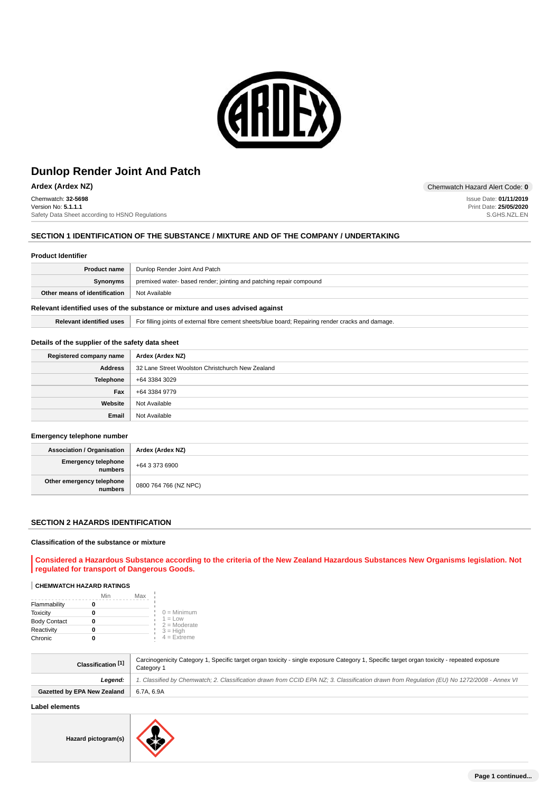

Chemwatch: **32-5698** Version No: **5.1.1.1** Safety Data Sheet according to HSNO Regulations

# **SECTION 1 IDENTIFICATION OF THE SUBSTANCE / MIXTURE AND OF THE COMPANY / UNDERTAKING**

#### **Product Identifier**

| <b>Product name</b>           | Dunlop Render Joint And Patch                                       |
|-------------------------------|---------------------------------------------------------------------|
| Synonyms                      | premixed water- based render; jointing and patching repair compound |
| Other means of identification | ' Not Available                                                     |
|                               |                                                                     |

# **Relevant identified uses of the substance or mixture and uses advised against**

**Relevant identified uses** For filling joints of external fibre cement sheets/blue board; Repairing render cracks and damage.

#### **Details of the supplier of the safety data sheet**

| Registered company name | Ardex (Ardex NZ)                                 |
|-------------------------|--------------------------------------------------|
| <b>Address</b>          | 32 Lane Street Woolston Christchurch New Zealand |
| Telephone               | +64 3384 3029                                    |
| Fax                     | +64 3384 9779                                    |
| Website                 | Not Available                                    |
| Email                   | Not Available                                    |

#### **Emergency telephone number**

| <b>Association / Organisation</b>    | Ardex (Ardex NZ)      |
|--------------------------------------|-----------------------|
| Emergency telephone<br>  numbers     | +64 3 373 6900        |
| Other emergency telephone<br>numbers | 0800 764 766 (NZ NPC) |

#### **SECTION 2 HAZARDS IDENTIFICATION**

#### **Classification of the substance or mixture**

**Considered a Hazardous Substance according to the criteria of the New Zealand Hazardous Substances New Organisms legislation. Not regulated for transport of Dangerous Goods.**

# **CHEMWATCH HAZARD RATINGS**

|                     | Min | Max |                             |
|---------------------|-----|-----|-----------------------------|
| Flammability        |     |     |                             |
| Toxicity            |     |     | $0 =$ Minimum               |
| <b>Body Contact</b> |     |     | $1 = Low$<br>$2 =$ Moderate |
| Reactivity          |     |     | $3 = High$                  |
| Chronic             |     |     | $4 =$ Extreme               |

| Classification <sup>[1]</sup> | Carcinogenicity Category 1, Specific target organ toxicity - single exposure Category 1, Specific target organ toxicity - repeated exposure<br>Category 1 |
|-------------------------------|-----------------------------------------------------------------------------------------------------------------------------------------------------------|
| Leaend:                       | 1. Classified by Chemwatch; 2. Classification drawn from CCID EPA NZ; 3. Classification drawn from Requlation (EU) No 1272/2008 - Annex VI                |
| Gazetted by EPA New Zealand   | 6.7A.6.9A                                                                                                                                                 |

# **Label elements**

**Hazard pictogram(s)**



**Ardex (Ardex NZ)** Chemwatch Hazard Alert Code: 0

Issue Date: **01/11/2019** Print Date: **25/05/2020** S.GHS.NZL.EN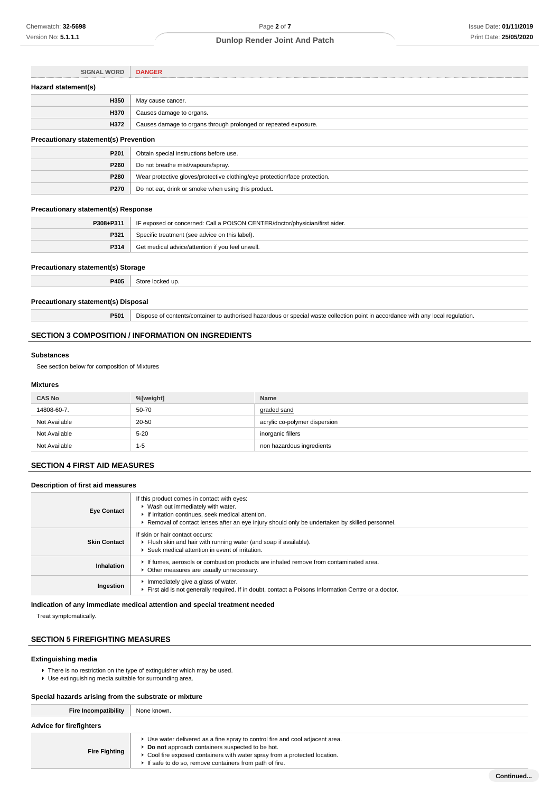| <b>SIGNAL WORD</b>                           | <b>DANGER</b>                                                              |  |
|----------------------------------------------|----------------------------------------------------------------------------|--|
| Hazard statement(s)                          |                                                                            |  |
| H350                                         | May cause cancer.                                                          |  |
| H370                                         | Causes damage to organs.                                                   |  |
| H372                                         | Causes damage to organs through prolonged or repeated exposure.            |  |
| <b>Precautionary statement(s) Prevention</b> |                                                                            |  |
| P201                                         | Obtain special instructions before use.                                    |  |
| P260                                         | Do not breathe mist/vapours/spray.                                         |  |
| P280                                         | Wear protective gloves/protective clothing/eye protection/face protection. |  |

### **Precautionary statement(s) Response**

| P308+P311 | IF exposed or concerned: Call a POISON CENTER/doctor/physician/first aider. |
|-----------|-----------------------------------------------------------------------------|
| P321      | Specific treatment (see advice on this label).                              |
| P314      | Get medical advice/attention if you feel unwell.                            |

### **Precautionary statement(s) Storage**

**P405** Store locked up.

**P270** Do not eat, drink or smoke when using this product.

#### **Precautionary statement(s) Disposal**

**P501** Dispose of contents/container to authorised hazardous or special waste collection point in accordance with any local regulation.

# **SECTION 3 COMPOSITION / INFORMATION ON INGREDIENTS**

### **Substances**

See section below for composition of Mixtures

### **Mixtures**

| <b>CAS No</b> | %[weight] | Name                          |
|---------------|-----------|-------------------------------|
| 14808-60-7.   | 50-70     | graded sand                   |
| Not Available | 20-50     | acrylic co-polymer dispersion |
| Not Available | $5 - 20$  | inorganic fillers             |
| Not Available | $1 - 5$   | non hazardous ingredients     |

# **SECTION 4 FIRST AID MEASURES**

### **Description of first aid measures**

| <b>Eve Contact</b>  | If this product comes in contact with eyes:<br>▶ Wash out immediately with water.<br>If irritation continues, seek medical attention.<br>Removal of contact lenses after an eye injury should only be undertaken by skilled personnel. |
|---------------------|----------------------------------------------------------------------------------------------------------------------------------------------------------------------------------------------------------------------------------------|
| <b>Skin Contact</b> | If skin or hair contact occurs:<br>Flush skin and hair with running water (and soap if available).<br>▶ Seek medical attention in event of irritation.                                                                                 |
| Inhalation          | If fumes, aerosols or combustion products are inhaled remove from contaminated area.<br>Other measures are usually unnecessary.                                                                                                        |
| Ingestion           | Immediately give a glass of water.<br>First aid is not generally required. If in doubt, contact a Poisons Information Centre or a doctor.                                                                                              |

# **Indication of any immediate medical attention and special treatment needed**

Treat symptomatically.

# **SECTION 5 FIREFIGHTING MEASURES**

# **Extinguishing media**

**F** There is no restriction on the type of extinguisher which may be used.

Use extinguishing media suitable for surrounding area.

### **Special hazards arising from the substrate or mixture**

| <b>Fire Incompatibility</b> | None known.                                                                                                                                                                                                                                                              |  |
|-----------------------------|--------------------------------------------------------------------------------------------------------------------------------------------------------------------------------------------------------------------------------------------------------------------------|--|
| Advice for firefighters     |                                                                                                                                                                                                                                                                          |  |
| <b>Fire Fighting</b>        | ► Use water delivered as a fine spray to control fire and cool adjacent area.<br>Do not approach containers suspected to be hot.<br>• Cool fire exposed containers with water spray from a protected location.<br>If safe to do so, remove containers from path of fire. |  |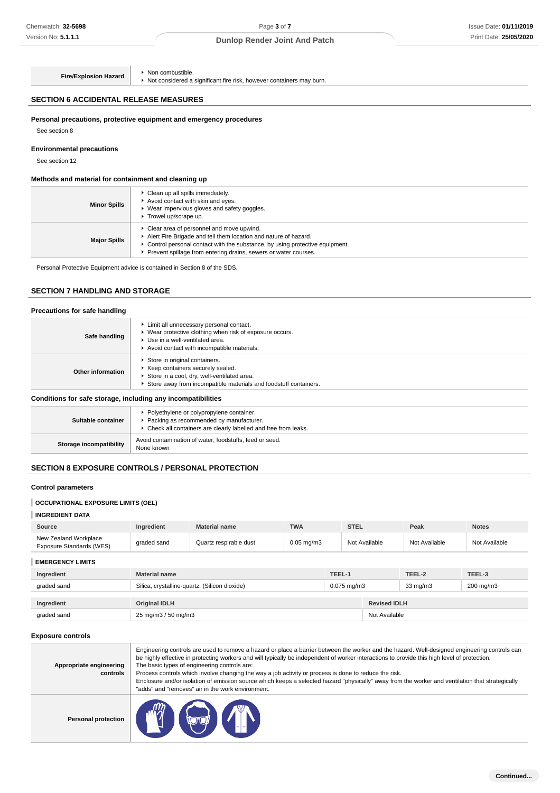**Fire/Explosion Hazard Non combustible.** 

► Not considered a significant fire risk, however containers may burn.

# **SECTION 6 ACCIDENTAL RELEASE MEASURES**

# **Personal precautions, protective equipment and emergency procedures**

See section 8

### **Environmental precautions**

See section 12

# **Methods and material for containment and cleaning up**

| <b>Minor Spills</b> | • Clean up all spills immediately.<br>Avoid contact with skin and eyes.<br>Wear impervious gloves and safety goggles.<br>Trowel up/scrape up.                                                                                                                   |
|---------------------|-----------------------------------------------------------------------------------------------------------------------------------------------------------------------------------------------------------------------------------------------------------------|
| <b>Major Spills</b> | Clear area of personnel and move upwind.<br>Alert Fire Brigade and tell them location and nature of hazard.<br>► Control personal contact with the substance, by using protective equipment.<br>Prevent spillage from entering drains, sewers or water courses. |

Personal Protective Equipment advice is contained in Section 8 of the SDS.

# **SECTION 7 HANDLING AND STORAGE**

| Precautions for safe handling                                |                                                                                                                                                                                        |  |
|--------------------------------------------------------------|----------------------------------------------------------------------------------------------------------------------------------------------------------------------------------------|--|
| Safe handling                                                | Limit all unnecessary personal contact.<br>▶ Wear protective clothing when risk of exposure occurs.<br>▶ Use in a well-ventilated area.<br>Avoid contact with incompatible materials.  |  |
| <b>Other information</b>                                     | Store in original containers.<br>▶ Keep containers securely sealed.<br>Store in a cool, dry, well-ventilated area.<br>Store away from incompatible materials and foodstuff containers. |  |
| Conditions for safe storage, including any incompatibilities |                                                                                                                                                                                        |  |
|                                                              | Polyethylene or polypropylene container                                                                                                                                                |  |

| Suitable container      | • Polyethylene or polypropylene container.<br>▶ Packing as recommended by manufacturer.<br>▶ Check all containers are clearly labelled and free from leaks. |
|-------------------------|-------------------------------------------------------------------------------------------------------------------------------------------------------------|
| Storage incompatibility | Avoid contamination of water, foodstuffs, feed or seed.<br>None known                                                                                       |

# **SECTION 8 EXPOSURE CONTROLS / PERSONAL PROTECTION**

# **Control parameters**

### **OCCUPATIONAL EXPOSURE LIMITS (OEL)**

### **INGREDIENT DATA**

| Source                                            | Ingredient  | <b>Material name</b>   | <b>TWA</b>      | <b>STEL</b>   | Peak          | <b>Notes</b>  |
|---------------------------------------------------|-------------|------------------------|-----------------|---------------|---------------|---------------|
| New Zealand Workplace<br>Exposure Standards (WES) | graded sand | Quartz respirable dust | $0.05$ ma/m $3$ | Not Available | Not Available | Not Available |

**EMERGENCY LIMITS**

| Ingredient  | <b>Material name</b>                          | TEEL-1           |                     | TEEL-3    |
|-------------|-----------------------------------------------|------------------|---------------------|-----------|
| graded sand | Silica, crystalline-quartz; (Silicon dioxide) | $0.075$ mg/m $3$ | $33 \text{ mg/m}$   | 200 mg/m3 |
| Ingredient  | <b>Original IDLH</b>                          |                  | <b>Revised IDLH</b> |           |
| graded sand | 25 mg/m3 / 50 mg/m3                           |                  | Not Available       |           |

#### **Exposure controls**

| Appropriate engineering<br>controls | Engineering controls are used to remove a hazard or place a barrier between the worker and the hazard. Well-designed engineering controls can<br>be highly effective in protecting workers and will typically be independent of worker interactions to provide this high level of protection.<br>The basic types of engineering controls are:<br>Process controls which involve changing the way a job activity or process is done to reduce the risk.<br>Enclosure and/or isolation of emission source which keeps a selected hazard "physically" away from the worker and ventilation that strategically<br>"adds" and "removes" air in the work environment. |
|-------------------------------------|-----------------------------------------------------------------------------------------------------------------------------------------------------------------------------------------------------------------------------------------------------------------------------------------------------------------------------------------------------------------------------------------------------------------------------------------------------------------------------------------------------------------------------------------------------------------------------------------------------------------------------------------------------------------|
| Personal protection                 | <b>Fig. (Ge)</b>                                                                                                                                                                                                                                                                                                                                                                                                                                                                                                                                                                                                                                                |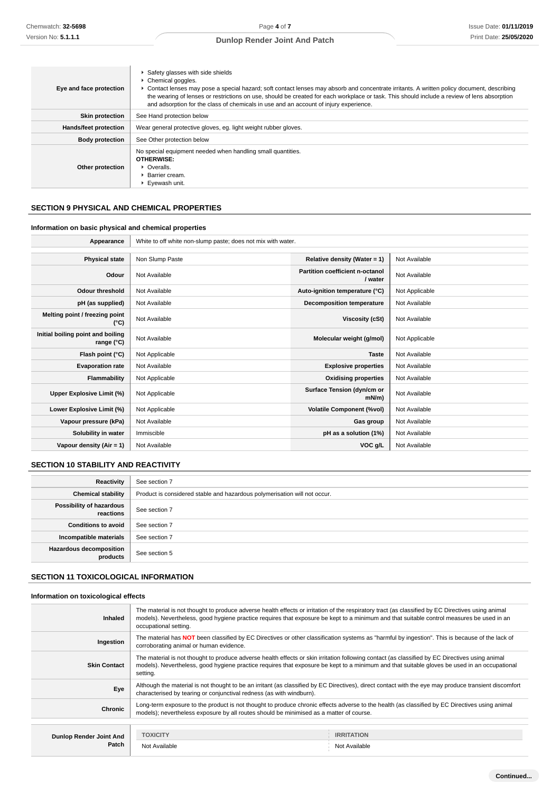| Eye and face protection | ▶ Safety glasses with side shields<br>Chemical goggles.<br>▶ Contact lenses may pose a special hazard; soft contact lenses may absorb and concentrate irritants. A written policy document, describing<br>the wearing of lenses or restrictions on use, should be created for each workplace or task. This should include a review of lens absorption<br>and adsorption for the class of chemicals in use and an account of injury experience. |
|-------------------------|------------------------------------------------------------------------------------------------------------------------------------------------------------------------------------------------------------------------------------------------------------------------------------------------------------------------------------------------------------------------------------------------------------------------------------------------|
| <b>Skin protection</b>  | See Hand protection below                                                                                                                                                                                                                                                                                                                                                                                                                      |
| Hands/feet protection   | Wear general protective gloves, eg. light weight rubber gloves.                                                                                                                                                                                                                                                                                                                                                                                |
| <b>Body protection</b>  | See Other protection below                                                                                                                                                                                                                                                                                                                                                                                                                     |
| Other protection        | No special equipment needed when handling small quantities.<br><b>OTHERWISE:</b><br>• Overalls.<br>▶ Barrier cream.<br>▶ Eyewash unit.                                                                                                                                                                                                                                                                                                         |

# **SECTION 9 PHYSICAL AND CHEMICAL PROPERTIES**

# **Information on basic physical and chemical properties**

| Appearance                                      | White to off white non-slump paste; does not mix with water. |                                                   |                |
|-------------------------------------------------|--------------------------------------------------------------|---------------------------------------------------|----------------|
|                                                 |                                                              |                                                   |                |
| <b>Physical state</b>                           | Non Slump Paste                                              | Relative density (Water = $1$ )                   | Not Available  |
| Odour                                           | Not Available                                                | <b>Partition coefficient n-octanol</b><br>/ water | Not Available  |
| <b>Odour threshold</b>                          | Not Available                                                | Auto-ignition temperature (°C)                    | Not Applicable |
| pH (as supplied)                                | Not Available                                                | Decomposition temperature                         | Not Available  |
| Melting point / freezing point<br>(°C)          | Not Available                                                | Viscosity (cSt)                                   | Not Available  |
| Initial boiling point and boiling<br>range (°C) | Not Available                                                | Molecular weight (g/mol)                          | Not Applicable |
| Flash point (°C)                                | Not Applicable                                               | <b>Taste</b>                                      | Not Available  |
| <b>Evaporation rate</b>                         | Not Available                                                | <b>Explosive properties</b>                       | Not Available  |
| Flammability                                    | Not Applicable                                               | <b>Oxidising properties</b>                       | Not Available  |
| Upper Explosive Limit (%)                       | Not Applicable                                               | Surface Tension (dyn/cm or<br>mN/m                | Not Available  |
| Lower Explosive Limit (%)                       | Not Applicable                                               | <b>Volatile Component (%vol)</b>                  | Not Available  |
| Vapour pressure (kPa)                           | Not Available                                                | Gas group                                         | Not Available  |
| Solubility in water                             | Immiscible                                                   | pH as a solution (1%)                             | Not Available  |
| Vapour density (Air = 1)                        | Not Available                                                | VOC g/L                                           | Not Available  |

# **SECTION 10 STABILITY AND REACTIVITY**

| Reactivity                                 | See section 7                                                             |
|--------------------------------------------|---------------------------------------------------------------------------|
| <b>Chemical stability</b>                  | Product is considered stable and hazardous polymerisation will not occur. |
| Possibility of hazardous<br>reactions      | See section 7                                                             |
| <b>Conditions to avoid</b>                 | See section 7                                                             |
| Incompatible materials                     | See section 7                                                             |
| <b>Hazardous decomposition</b><br>products | See section 5                                                             |

# **SECTION 11 TOXICOLOGICAL INFORMATION**

### **Information on toxicological effects**

| <b>Inhaled</b>          | The material is not thought to produce adverse health effects or irritation of the respiratory tract (as classified by EC Directives using animal<br>models). Nevertheless, good hygiene practice requires that exposure be kept to a minimum and that suitable control measures be used in an<br>occupational setting. |                   |  |
|-------------------------|-------------------------------------------------------------------------------------------------------------------------------------------------------------------------------------------------------------------------------------------------------------------------------------------------------------------------|-------------------|--|
| Ingestion               | The material has NOT been classified by EC Directives or other classification systems as "harmful by ingestion". This is because of the lack of<br>corroborating animal or human evidence.                                                                                                                              |                   |  |
| <b>Skin Contact</b>     | The material is not thought to produce adverse health effects or skin irritation following contact (as classified by EC Directives using animal<br>models). Nevertheless, good hygiene practice requires that exposure be kept to a minimum and that suitable gloves be used in an occupational<br>setting.             |                   |  |
| Eye                     | Although the material is not thought to be an irritant (as classified by EC Directives), direct contact with the eye may produce transient discomfort<br>characterised by tearing or conjunctival redness (as with windburn).                                                                                           |                   |  |
| Chronic                 | Long-term exposure to the product is not thought to produce chronic effects adverse to the health (as classified by EC Directives using animal<br>models); nevertheless exposure by all routes should be minimised as a matter of course.                                                                               |                   |  |
|                         |                                                                                                                                                                                                                                                                                                                         |                   |  |
| Dunlop Render Joint And | <b>TOXICITY</b>                                                                                                                                                                                                                                                                                                         | <b>IRRITATION</b> |  |
| Patch                   | Not Available                                                                                                                                                                                                                                                                                                           | Not Available     |  |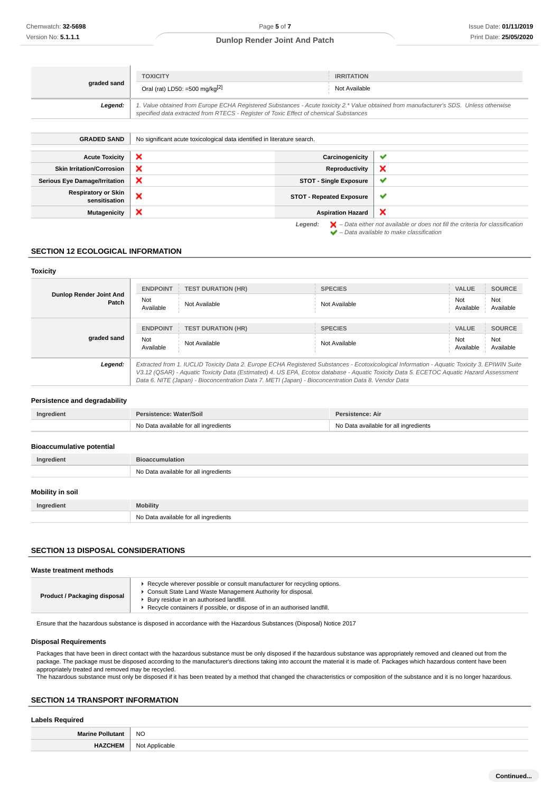| graded sand        | <b>TOXICITY</b><br>Oral (rat) LD50: =500 mg/kg $[2]$                                                                                                                                                                            | <b>IRRITATION</b><br>Not Available |
|--------------------|---------------------------------------------------------------------------------------------------------------------------------------------------------------------------------------------------------------------------------|------------------------------------|
| Legend:            | 1. Value obtained from Europe ECHA Registered Substances - Acute toxicity 2.* Value obtained from manufacturer's SDS. Unless otherwise<br>specified data extracted from RTECS - Register of Toxic Effect of chemical Substances |                                    |
|                    |                                                                                                                                                                                                                                 |                                    |
| <b>GRADED SAND</b> | No significant acute toxicological data identified in literature search.                                                                                                                                                        |                                    |
|                    |                                                                                                                                                                                                                                 |                                    |

| Acute Toxicity                              | $\boldsymbol{\mathsf{x}}$ | Carcinogenicity               | . v      |
|---------------------------------------------|---------------------------|-------------------------------|----------|
| <b>Skin Irritation/Corrosion</b>            | $\boldsymbol{\mathsf{x}}$ | Reproductivity                | - >      |
| <b>Serious Eye Damage/Irritation</b>        | $\boldsymbol{\mathsf{x}}$ | <b>STOT - Single Exposure</b> | - 4      |
| <b>Respiratory or Skin</b><br>sensitisation | $\boldsymbol{\mathsf{x}}$ | STOT - Repeated Exposure      | <b>M</b> |
| <b>Mutagenicity</b>                         | $\boldsymbol{\mathsf{x}}$ | <b>Aspiration Hazard</b>      | ◝        |
|                                             |                           |                               |          |

Legend:  $\blacktriangleright$  - Data either not available or does not fill the criteria for classification  $\blacktriangleright$  – Data available to make classification

### **SECTION 12 ECOLOGICAL INFORMATION**

#### **Toxicity**

|                                  | <b>ENDPOINT</b>                                                                                                                                                                                                                                                                                                                                                                                 | <b>TEST DURATION (HR)</b> | <b>SPECIES</b> | <b>VALUE</b>     | <b>SOURCE</b>    |
|----------------------------------|-------------------------------------------------------------------------------------------------------------------------------------------------------------------------------------------------------------------------------------------------------------------------------------------------------------------------------------------------------------------------------------------------|---------------------------|----------------|------------------|------------------|
| Dunlop Render Joint And<br>Patch | Not<br>Available                                                                                                                                                                                                                                                                                                                                                                                | Not Available             | Not Available  | Not<br>Available | Not<br>Available |
|                                  | <b>ENDPOINT</b>                                                                                                                                                                                                                                                                                                                                                                                 | <b>TEST DURATION (HR)</b> | <b>SPECIES</b> | <b>VALUE</b>     | <b>SOURCE</b>    |
| graded sand                      | Not<br>Available                                                                                                                                                                                                                                                                                                                                                                                | Not Available             | Not Available  | Not<br>Available | Not<br>Available |
| Legend:                          | Extracted from 1. IUCLID Toxicity Data 2. Europe ECHA Registered Substances - Ecotoxicological Information - Aquatic Toxicity 3. EPIWIN Suite<br>V3.12 (QSAR) - Aquatic Toxicity Data (Estimated) 4. US EPA, Ecotox database - Aquatic Toxicity Data 5. ECETOC Aquatic Hazard Assessment<br>Data 6. NITE (Japan) - Bioconcentration Data 7. METI (Japan) - Bioconcentration Data 8. Vendor Data |                           |                |                  |                  |

### **Persistence and degradability**

| Ingredient | Persistence: Water/Soil               | Persistence: Air                      |
|------------|---------------------------------------|---------------------------------------|
|            | No Data available for all ingredients | No Data available for all ingredients |

#### **Bioaccumulative potential**

| Ingredient              | <b>Bioaccumulation</b>                |  |  |
|-------------------------|---------------------------------------|--|--|
|                         | No Data available for all ingredients |  |  |
| <b>Mobility in soil</b> |                                       |  |  |
| Ingredient              | <b>Mobility</b>                       |  |  |

# **SECTION 13 DISPOSAL CONSIDERATIONS**

#### **Waste treatment methods**

| Product / Packaging disposal | ► Recycle wherever possible or consult manufacturer for recycling options.<br>▶ Consult State Land Waste Management Authority for disposal.<br>▶ Bury residue in an authorised landfill.<br>▶ Recycle containers if possible, or dispose of in an authorised landfill. |
|------------------------------|------------------------------------------------------------------------------------------------------------------------------------------------------------------------------------------------------------------------------------------------------------------------|
|------------------------------|------------------------------------------------------------------------------------------------------------------------------------------------------------------------------------------------------------------------------------------------------------------------|

Ensure that the hazardous substance is disposed in accordance with the Hazardous Substances (Disposal) Notice 2017

No Data available for all ingredients

#### **Disposal Requirements**

Packages that have been in direct contact with the hazardous substance must be only disposed if the hazardous substance was appropriately removed and cleaned out from the package. The package must be disposed according to the manufacturer's directions taking into account the material it is made of. Packages which hazardous content have been appropriately treated and removed may be recycled.

The hazardous substance must only be disposed if it has been treated by a method that changed the characteristics or composition of the substance and it is no longer hazardous.

### **SECTION 14 TRANSPORT INFORMATION**

#### **Labels Required**

| <b>NO</b><br>$\sim$ |
|---------------------|
|                     |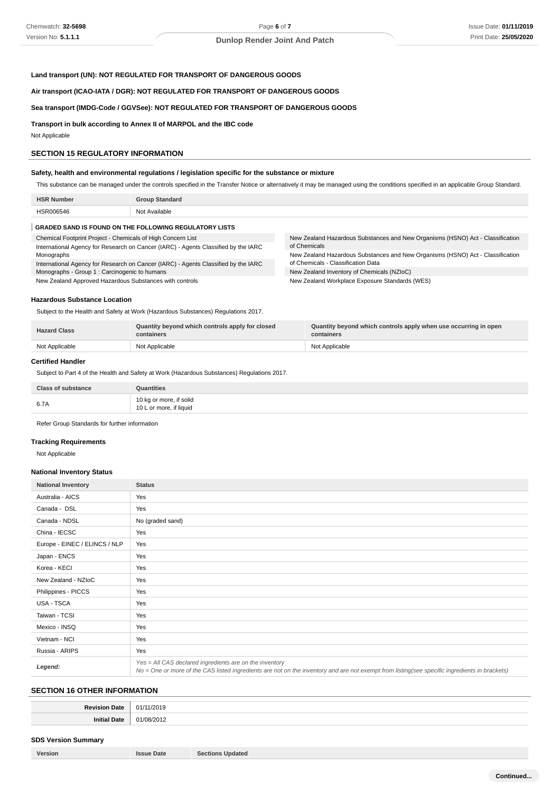# **Land transport (UN): NOT REGULATED FOR TRANSPORT OF DANGEROUS GOODS**

**Air transport (ICAO-IATA / DGR): NOT REGULATED FOR TRANSPORT OF DANGEROUS GOODS**

# **Sea transport (IMDG-Code / GGVSee): NOT REGULATED FOR TRANSPORT OF DANGEROUS GOODS**

**Transport in bulk according to Annex II of MARPOL and the IBC code**

Not Applicable

#### **SECTION 15 REGULATORY INFORMATION**

# **Safety, health and environmental regulations / legislation specific for the substance or mixture**

This substance can be managed under the controls specified in the Transfer Notice or alternatively it may be managed using the conditions specified in an applicable Group Standard.

| <b>HSR</b><br>. Number | <b>Group Standard</b> |
|------------------------|-----------------------|
| <b>PROOF</b>           | Available<br>ימות     |
|                        |                       |

### **GRADED SAND IS FOUND ON THE FOLLOWING REGULATORY LISTS**

| Chemical Footprint Project - Chemicals of High Concern List                        | New Zealand Hazardous Substances and New Organisms (HSNO) Act - Classification |  |
|------------------------------------------------------------------------------------|--------------------------------------------------------------------------------|--|
| International Agency for Research on Cancer (IARC) - Agents Classified by the IARC | of Chemicals                                                                   |  |
| Monographs                                                                         | New Zealand Hazardous Substances and New Organisms (HSNO) Act - Classification |  |
| International Agency for Research on Cancer (IARC) - Agents Classified by the IARC | of Chemicals - Classification Data                                             |  |
| Monographs - Group 1 : Carcinogenic to humans                                      | New Zealand Inventory of Chemicals (NZIoC)                                     |  |
| New Zealand Approved Hazardous Substances with controls                            | New Zealand Workplace Exposure Standards (WES)                                 |  |

#### **Hazardous Substance Location**

Subject to the Health and Safety at Work (Hazardous Substances) Regulations 2017.

|                                                    | <b>Hazard Class</b> | Quantity beyond which controls apply for closed<br>containers | Quantity beyond which controls apply when use occurring in open<br>containers |
|----------------------------------------------------|---------------------|---------------------------------------------------------------|-------------------------------------------------------------------------------|
| Not Applicable<br>Not Applicable<br>Not Applicable |                     |                                                               |                                                                               |

#### **Certified Handler**

Subject to Part 4 of the Health and Safety at Work (Hazardous Substances) Regulations 2017.

| <b>Class of substance</b> | Quantities                                         |
|---------------------------|----------------------------------------------------|
| 6.7A                      | 10 kg or more, if solid<br>10 L or more, if liquid |

Refer Group Standards for further information

#### **Tracking Requirements**

Not Applicable

#### **National Inventory Status**

| <b>National Inventory</b>     | <b>Status</b>                                                                                                                                                                                            |
|-------------------------------|----------------------------------------------------------------------------------------------------------------------------------------------------------------------------------------------------------|
| Australia - AICS              | Yes                                                                                                                                                                                                      |
| Canada - DSL                  | Yes                                                                                                                                                                                                      |
| Canada - NDSL                 | No (graded sand)                                                                                                                                                                                         |
| China - IECSC                 | Yes                                                                                                                                                                                                      |
| Europe - EINEC / ELINCS / NLP | Yes                                                                                                                                                                                                      |
| Japan - ENCS                  | Yes                                                                                                                                                                                                      |
| Korea - KECI                  | Yes                                                                                                                                                                                                      |
| New Zealand - NZIoC           | Yes                                                                                                                                                                                                      |
| Philippines - PICCS           | Yes                                                                                                                                                                                                      |
| USA - TSCA                    | Yes                                                                                                                                                                                                      |
| Taiwan - TCSI                 | Yes                                                                                                                                                                                                      |
| Mexico - INSQ                 | Yes                                                                                                                                                                                                      |
| Vietnam - NCI                 | Yes                                                                                                                                                                                                      |
| Russia - ARIPS                | Yes                                                                                                                                                                                                      |
| Legend:                       | Yes = All CAS declared ingredients are on the inventory<br>No = One or more of the CAS listed ingredients are not on the inventory and are not exempt from listing(see specific ingredients in brackets) |

### **SECTION 16 OTHER INFORMATION**

| רנ.<br>___ |
|------------|
| או         |

# **SDS Version Summary**